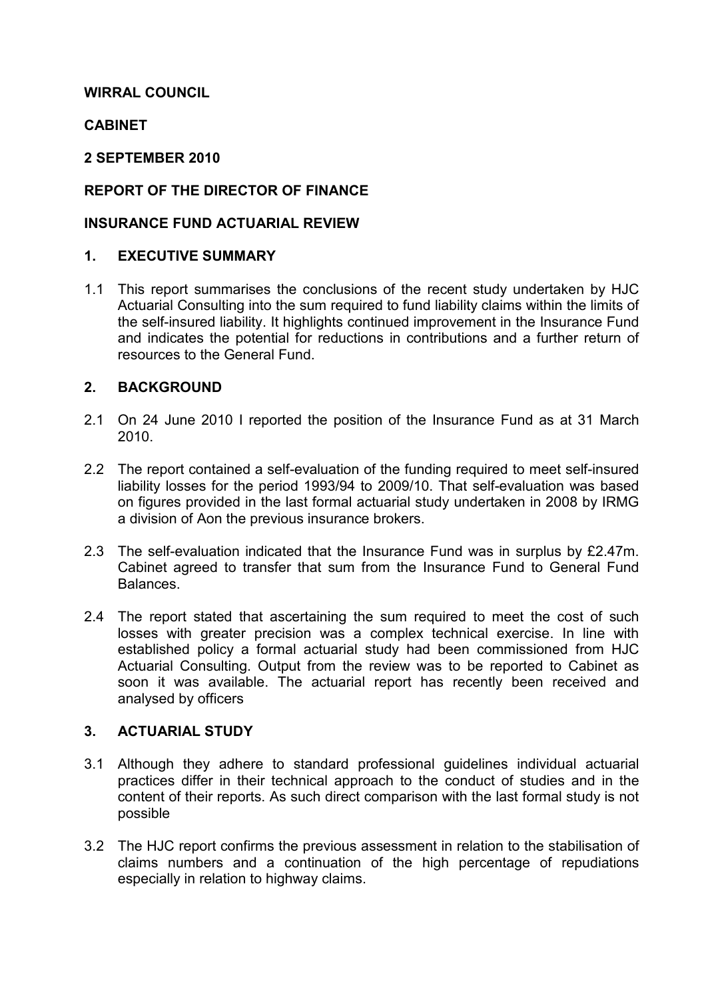## WIRRAL COUNCIL

## **CABINET**

#### 2 SEPTEMBER 2010

## REPORT OF THE DIRECTOR OF FINANCE

## INSURANCE FUND ACTUARIAL REVIEW

#### 1. EXECUTIVE SUMMARY

1.1 This report summarises the conclusions of the recent study undertaken by HJC Actuarial Consulting into the sum required to fund liability claims within the limits of the self-insured liability. It highlights continued improvement in the Insurance Fund and indicates the potential for reductions in contributions and a further return of resources to the General Fund.

## 2. BACKGROUND

- 2.1 On 24 June 2010 I reported the position of the Insurance Fund as at 31 March 2010.
- 2.2 The report contained a self-evaluation of the funding required to meet self-insured liability losses for the period 1993/94 to 2009/10. That self-evaluation was based on figures provided in the last formal actuarial study undertaken in 2008 by IRMG a division of Aon the previous insurance brokers.
- 2.3 The self-evaluation indicated that the Insurance Fund was in surplus by £2.47m. Cabinet agreed to transfer that sum from the Insurance Fund to General Fund Balances.
- 2.4 The report stated that ascertaining the sum required to meet the cost of such losses with greater precision was a complex technical exercise. In line with established policy a formal actuarial study had been commissioned from HJC Actuarial Consulting. Output from the review was to be reported to Cabinet as soon it was available. The actuarial report has recently been received and analysed by officers

#### 3. ACTUARIAL STUDY

- 3.1 Although they adhere to standard professional guidelines individual actuarial practices differ in their technical approach to the conduct of studies and in the content of their reports. As such direct comparison with the last formal study is not possible
- 3.2 The HJC report confirms the previous assessment in relation to the stabilisation of claims numbers and a continuation of the high percentage of repudiations especially in relation to highway claims.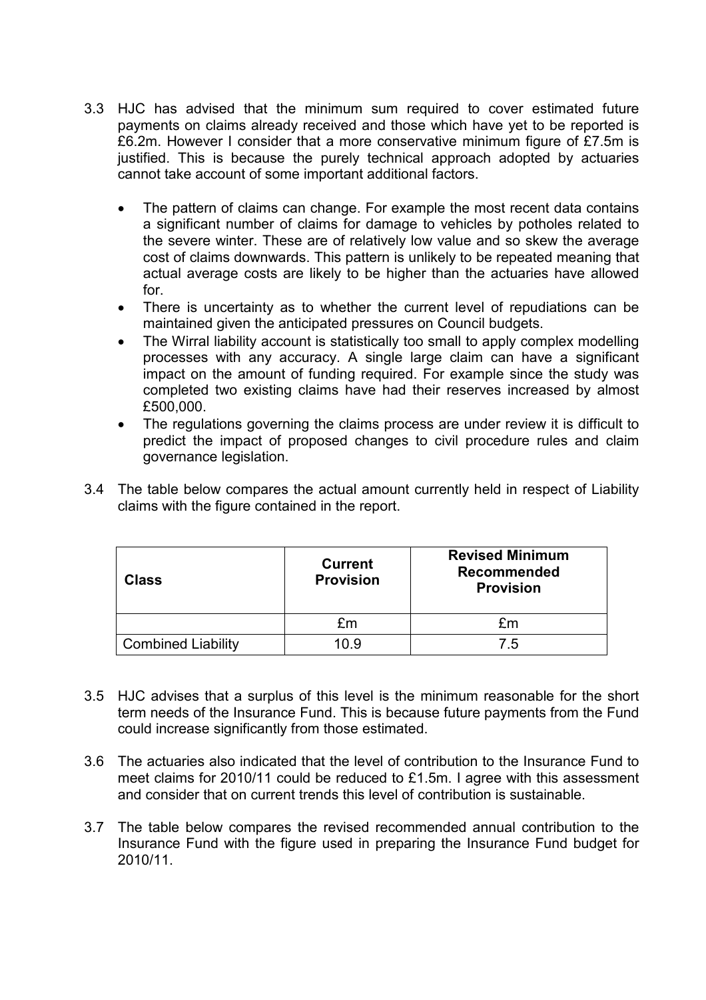- 3.3 HJC has advised that the minimum sum required to cover estimated future payments on claims already received and those which have yet to be reported is £6.2m. However I consider that a more conservative minimum figure of £7.5m is justified. This is because the purely technical approach adopted by actuaries cannot take account of some important additional factors.
	- The pattern of claims can change. For example the most recent data contains a significant number of claims for damage to vehicles by potholes related to the severe winter. These are of relatively low value and so skew the average cost of claims downwards. This pattern is unlikely to be repeated meaning that actual average costs are likely to be higher than the actuaries have allowed for.
	- There is uncertainty as to whether the current level of repudiations can be maintained given the anticipated pressures on Council budgets.
	- The Wirral liability account is statistically too small to apply complex modelling processes with any accuracy. A single large claim can have a significant impact on the amount of funding required. For example since the study was completed two existing claims have had their reserves increased by almost £500,000.
	- The regulations governing the claims process are under review it is difficult to predict the impact of proposed changes to civil procedure rules and claim governance legislation.
- 3.4 The table below compares the actual amount currently held in respect of Liability claims with the figure contained in the report.

| Class                     | <b>Current</b><br><b>Provision</b> | <b>Revised Minimum</b><br><b>Recommended</b><br><b>Provision</b> |
|---------------------------|------------------------------------|------------------------------------------------------------------|
|                           | £m                                 | £m                                                               |
| <b>Combined Liability</b> | 10 9                               | 75                                                               |

- 3.5 HJC advises that a surplus of this level is the minimum reasonable for the short term needs of the Insurance Fund. This is because future payments from the Fund could increase significantly from those estimated.
- 3.6 The actuaries also indicated that the level of contribution to the Insurance Fund to meet claims for 2010/11 could be reduced to £1.5m. I agree with this assessment and consider that on current trends this level of contribution is sustainable.
- 3.7 The table below compares the revised recommended annual contribution to the Insurance Fund with the figure used in preparing the Insurance Fund budget for 2010/11.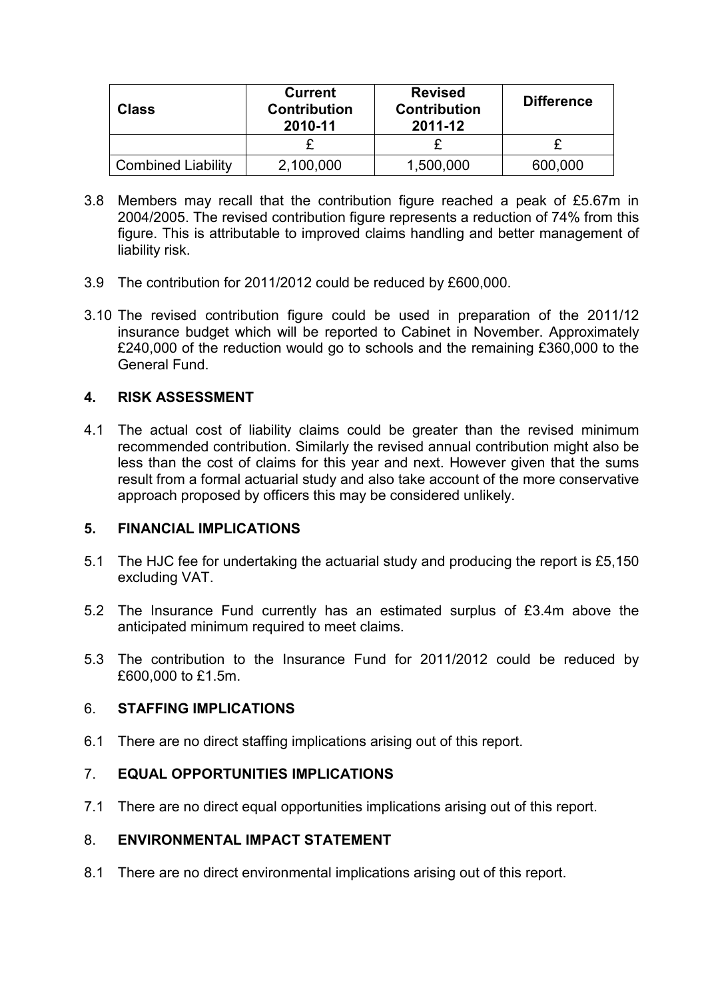| Class                     | <b>Current</b><br><b>Contribution</b><br>2010-11 | <b>Revised</b><br><b>Contribution</b><br>2011-12 | <b>Difference</b> |
|---------------------------|--------------------------------------------------|--------------------------------------------------|-------------------|
|                           |                                                  |                                                  |                   |
| <b>Combined Liability</b> | 2,100,000                                        | 1,500,000                                        | 600,000           |

- 3.8 Members may recall that the contribution figure reached a peak of £5.67m in 2004/2005. The revised contribution figure represents a reduction of 74% from this figure. This is attributable to improved claims handling and better management of liability risk.
- 3.9 The contribution for 2011/2012 could be reduced by £600,000.
- 3.10 The revised contribution figure could be used in preparation of the 2011/12 insurance budget which will be reported to Cabinet in November. Approximately £240,000 of the reduction would go to schools and the remaining £360,000 to the General Fund.

## 4. RISK ASSESSMENT

4.1 The actual cost of liability claims could be greater than the revised minimum recommended contribution. Similarly the revised annual contribution might also be less than the cost of claims for this year and next. However given that the sums result from a formal actuarial study and also take account of the more conservative approach proposed by officers this may be considered unlikely.

#### 5. FINANCIAL IMPLICATIONS

- 5.1 The HJC fee for undertaking the actuarial study and producing the report is £5,150 excluding VAT.
- 5.2 The Insurance Fund currently has an estimated surplus of £3.4m above the anticipated minimum required to meet claims.
- 5.3 The contribution to the Insurance Fund for 2011/2012 could be reduced by £600,000 to £1.5m.

#### 6. STAFFING IMPLICATIONS

6.1 There are no direct staffing implications arising out of this report.

# 7. EQUAL OPPORTUNITIES IMPLICATIONS

7.1 There are no direct equal opportunities implications arising out of this report.

#### 8. ENVIRONMENTAL IMPACT STATEMENT

8.1 There are no direct environmental implications arising out of this report.